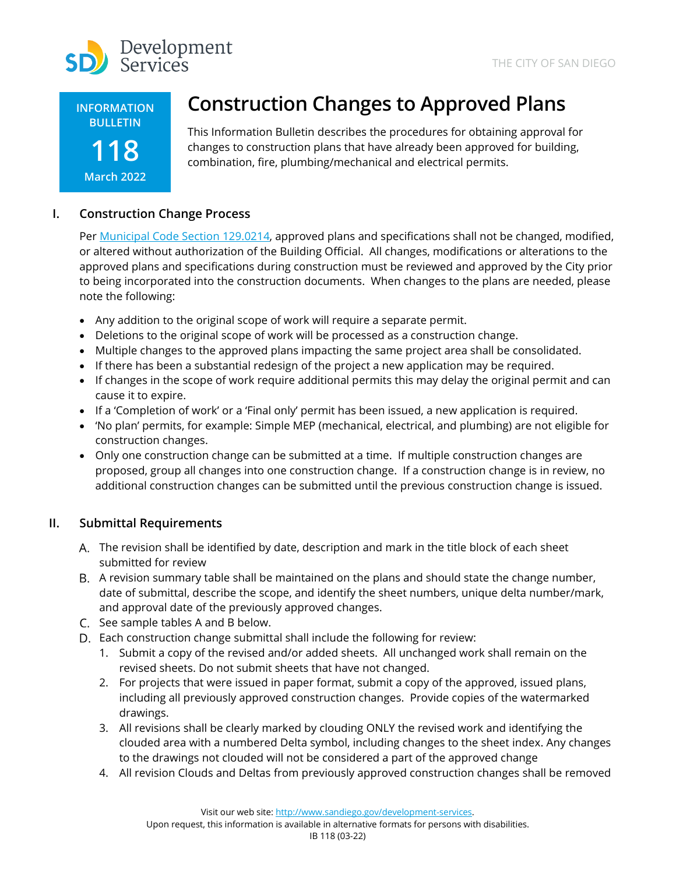

**INFORMATION BULLETIN**

# **118 March 2022**

# **Construction Changes to Approved Plans**

This Information Bulletin describes the procedures for obtaining approval for changes to construction plans that have already been approved for building, combination, fire, plumbing/mechanical and electrical permits.

## **I. Construction Change Process**

Per [Municipal Code Section 129.0214](https://docs.sandiego.gov/municode/MuniCodeChapter12/Ch12Art09Division02.pdf), approved plans and specifications shall not be changed, modified, or altered without authorization of the Building Official. All changes, modifications or alterations to the approved plans and specifications during construction must be reviewed and approved by the City prior to being incorporated into the construction documents. When changes to the plans are needed, please note the following:

- Any addition to the original scope of work will require a separate permit.
- Deletions to the original scope of work will be processed as a construction change.
- Multiple changes to the approved plans impacting the same project area shall be consolidated.
- If there has been a substantial redesign of the project a new application may be required.
- If changes in the scope of work require additional permits this may delay the original permit and can cause it to expire.
- If a 'Completion of work' or a 'Final only' permit has been issued, a new application is required.
- 'No plan' permits, for example: Simple MEP (mechanical, electrical, and plumbing) are not eligible for construction changes.
- Only one construction change can be submitted at a time. If multiple construction changes are proposed, group all changes into one construction change. If a construction change is in review, no additional construction changes can be submitted until the previous construction change is issued.

## **II. Submittal Requirements**

- The revision shall be identified by date, description and mark in the title block of each sheet submitted for review
- A revision summary table shall be maintained on the plans and should state the change number, date of submittal, describe the scope, and identify the sheet numbers, unique delta number/mark, and approval date of the previously approved changes.
- C. See sample tables A and B below.
- Each construction change submittal shall include the following for review:
	- 1. Submit a copy of the revised and/or added sheets. All unchanged work shall remain on the revised sheets. Do not submit sheets that have not changed.
	- 2. For projects that were issued in paper format, submit a copy of the approved, issued plans, including all previously approved construction changes. Provide copies of the watermarked drawings.
	- 3. All revisions shall be clearly marked by clouding ONLY the revised work and identifying the clouded area with a numbered Delta symbol, including changes to the sheet index. Any changes to the drawings not clouded will not be considered a part of the approved change
	- 4. All revision Clouds and Deltas from previously approved construction changes shall be removed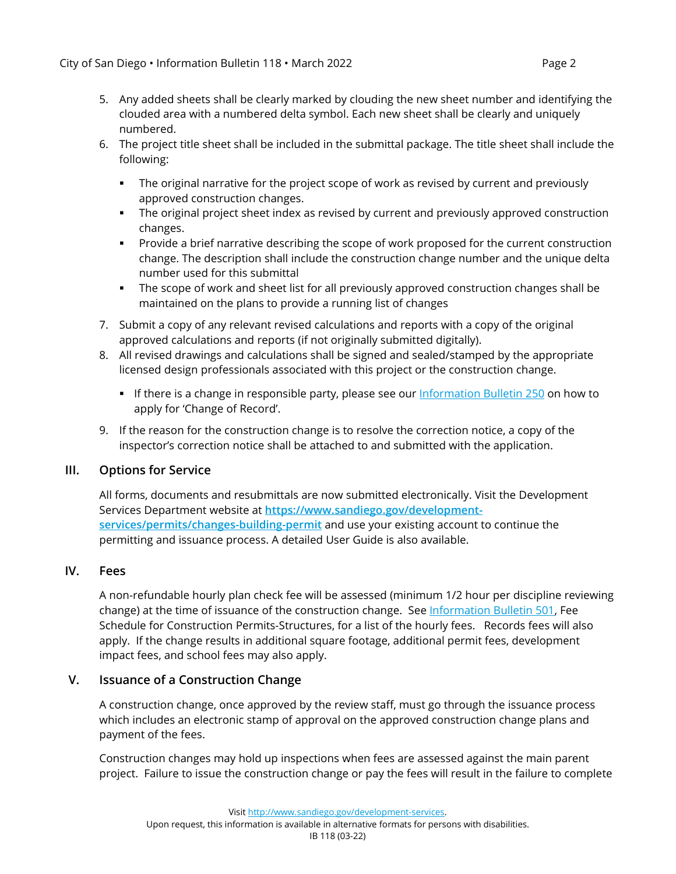- 5. Any added sheets shall be clearly marked by clouding the new sheet number and identifying the clouded area with a numbered delta symbol. Each new sheet shall be clearly and uniquely numbered.
- 6. The project title sheet shall be included in the submittal package. The title sheet shall include the following:
	- The original narrative for the project scope of work as revised by current and previously approved construction changes.
	- The original project sheet index as revised by current and previously approved construction changes.
	- Provide a brief narrative describing the scope of work proposed for the current construction change. The description shall include the construction change number and the unique delta number used for this submittal
	- The scope of work and sheet list for all previously approved construction changes shall be maintained on the plans to provide a running list of changes
- 7. Submit a copy of any relevant revised calculations and reports with a copy of the original approved calculations and reports (if not originally submitted digitally).
- 8. All revised drawings and calculations shall be signed and sealed/stamped by the appropriate licensed design professionals associated with this project or the construction change.
	- **If there is a change in responsible party, please see our [Information Bulletin 250](https://www.sandiego.gov/sites/default/files/dsdib250.pdf) on how to** apply for 'Change of Record'.
- 9. If the reason for the construction change is to resolve the correction notice, a copy of the inspector's correction notice shall be attached to and submitted with the application.

#### **III. Options for Service**

All forms, documents and resubmittals are now submitted electronically. Visit the Development Services Department website at **[https://www.sandiego.gov/development](https://www.sandiego.gov/development-services/permits/changes-building-permit)[services/permits/changes-building-permit](https://www.sandiego.gov/development-services/permits/changes-building-permit)** and use your existing account to continue the permitting and issuance process. A detailed User Guide is also available.

#### **IV. Fees**

A non-refundable hourly plan check fee will be assessed (minimum 1/2 hour per discipline reviewing change) at the time of issuance of the construction change. See [Information Bulletin 501,](http://www.sandiego.gov/sites/default/files/dsdib501.pdf) Fee Schedule for Construction Permits-Structures, for a list of the hourly fees. Records fees will also apply. If the change results in additional square footage, additional permit fees, development impact fees, and school fees may also apply.

#### **V. Issuance of a Construction Change**

A construction change, once approved by the review staff, must go through the issuance process which includes an electronic stamp of approval on the approved construction change plans and payment of the fees.

Construction changes may hold up inspections when fees are assessed against the main parent project. Failure to issue the construction change or pay the fees will result in the failure to complete